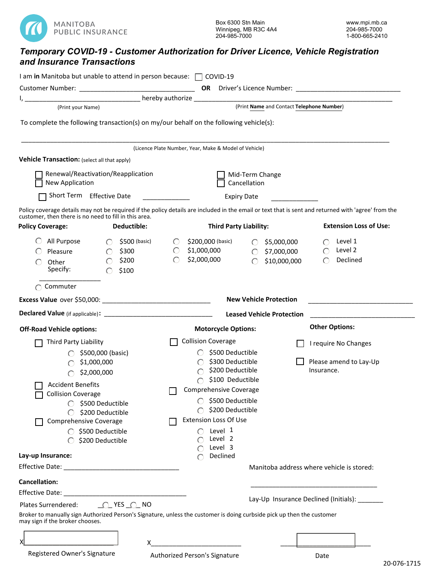

## *Temporary COVID-19 - Customer Authorization for Driver Licence, Vehicle Registration and Insurance Transactions*

| I am in Manitoba but unable to attend in person because: $\Box$ COVID-19                                                                                                                                                             |                              |                                                                                                                                                                                                         |                                                       |                    |                               |                               |                                                |  |
|--------------------------------------------------------------------------------------------------------------------------------------------------------------------------------------------------------------------------------------|------------------------------|---------------------------------------------------------------------------------------------------------------------------------------------------------------------------------------------------------|-------------------------------------------------------|--------------------|-------------------------------|-------------------------------|------------------------------------------------|--|
|                                                                                                                                                                                                                                      |                              |                                                                                                                                                                                                         |                                                       |                    |                               |                               |                                                |  |
| <u>2008 - 2008 - 2008 - 2008 - 2008 - 2008 - 2008 - 2008 - 2008 - 2008 - 2008 - 2008 - 2008 - 2008 - 2008 - 2008 - 2008 - 2008 - 2008 - 2008 - 2008 - 2008 - 2008 - 2008 - 2008 - 2008 - 2008 - 2008 - 2008 - 2008 - 2008 - 2008</u> |                              |                                                                                                                                                                                                         |                                                       |                    |                               |                               |                                                |  |
| (Print your Name)                                                                                                                                                                                                                    |                              |                                                                                                                                                                                                         | (Print Name and Contact Telephone Number)             |                    |                               |                               |                                                |  |
| To complete the following transaction(s) on my/our behalf on the following vehicle(s):                                                                                                                                               |                              |                                                                                                                                                                                                         |                                                       |                    |                               |                               |                                                |  |
|                                                                                                                                                                                                                                      |                              |                                                                                                                                                                                                         |                                                       |                    |                               |                               |                                                |  |
|                                                                                                                                                                                                                                      |                              |                                                                                                                                                                                                         | (Licence Plate Number, Year, Make & Model of Vehicle) |                    |                               |                               |                                                |  |
| Vehicle Transaction: (select all that apply)                                                                                                                                                                                         |                              |                                                                                                                                                                                                         |                                                       |                    |                               |                               |                                                |  |
| Renewal/Reactivation/Reapplication                                                                                                                                                                                                   |                              | Mid-Term Change                                                                                                                                                                                         |                                                       |                    |                               |                               |                                                |  |
| New Application                                                                                                                                                                                                                      |                              |                                                                                                                                                                                                         | Cancellation                                          |                    |                               |                               |                                                |  |
| Short Term Effective Date                                                                                                                                                                                                            |                              | $\label{eq:2.1} \frac{1}{\sqrt{2\pi}}\left(\frac{1}{\sqrt{2\pi}}\right)^{1/2}\left(\frac{1}{\sqrt{2\pi}}\right)^{1/2}\left(\frac{1}{\sqrt{2\pi}}\right)^{1/2}\left(\frac{1}{\sqrt{2\pi}}\right)^{1/2}.$ |                                                       | <b>Expiry Date</b> |                               |                               |                                                |  |
| Policy coverage details may not be required if the policy details are included in the email or text that is sent and returned with 'agree' from the<br>customer, then there is no need to fill in this area.                         |                              |                                                                                                                                                                                                         |                                                       |                    |                               |                               |                                                |  |
| <b>Policy Coverage:</b>                                                                                                                                                                                                              | Deductible:                  |                                                                                                                                                                                                         | <b>Third Party Liability:</b>                         |                    |                               | <b>Extension Loss of Use:</b> |                                                |  |
| All Purpose                                                                                                                                                                                                                          | \$500 (basic)<br>$\bigcirc$  | $\left( \begin{array}{c} \cdot \end{array} \right)$                                                                                                                                                     | \$200,000 (basic)                                     |                    | \$5,000,000                   |                               | Level 1                                        |  |
| Pleasure                                                                                                                                                                                                                             | \$300<br>$\circ$             | $\bigcirc$                                                                                                                                                                                              | \$1,000,000                                           |                    | \$7,000,000                   | $\bigcap$                     | Level 2                                        |  |
| Other                                                                                                                                                                                                                                | \$200<br>$\bigcirc$          | $\bigcirc$                                                                                                                                                                                              | \$2,000,000                                           | ∩                  | \$10,000,000                  | $\subset$                     | Declined                                       |  |
| Specify:                                                                                                                                                                                                                             | \$100                        |                                                                                                                                                                                                         |                                                       |                    |                               |                               |                                                |  |
| Commuter                                                                                                                                                                                                                             |                              |                                                                                                                                                                                                         |                                                       |                    |                               |                               |                                                |  |
|                                                                                                                                                                                                                                      |                              |                                                                                                                                                                                                         |                                                       |                    | <b>New Vehicle Protection</b> |                               |                                                |  |
|                                                                                                                                                                                                                                      |                              |                                                                                                                                                                                                         | <b>Leased Vehicle Protection</b>                      |                    |                               |                               |                                                |  |
| <b>Off-Road Vehicle options:</b>                                                                                                                                                                                                     |                              |                                                                                                                                                                                                         | <b>Motorcycle Options:</b>                            |                    |                               | <b>Other Options:</b>         |                                                |  |
| Third Party Liability                                                                                                                                                                                                                |                              |                                                                                                                                                                                                         | <b>Collision Coverage</b>                             |                    |                               |                               | I require No Changes                           |  |
|                                                                                                                                                                                                                                      | \$500,000 (basic)            |                                                                                                                                                                                                         | \$500 Deductible                                      |                    |                               |                               |                                                |  |
|                                                                                                                                                                                                                                      | \$1,000,000                  |                                                                                                                                                                                                         | \$300 Deductible                                      |                    |                               |                               | Please amend to Lay-Up                         |  |
|                                                                                                                                                                                                                                      | \$2,000,000                  |                                                                                                                                                                                                         | \$200 Deductible                                      |                    |                               | Insurance.                    |                                                |  |
| <b>Accident Benefits</b>                                                                                                                                                                                                             |                              |                                                                                                                                                                                                         | \$100 Deductible                                      |                    |                               |                               |                                                |  |
| <b>Collision Coverage</b>                                                                                                                                                                                                            |                              | Comprehensive Coverage                                                                                                                                                                                  |                                                       |                    |                               |                               |                                                |  |
| \$500 Deductible                                                                                                                                                                                                                     |                              | \$500 Deductible<br>\$200 Deductible                                                                                                                                                                    |                                                       |                    |                               |                               |                                                |  |
| Comprehensive Coverage                                                                                                                                                                                                               | \$200 Deductible             |                                                                                                                                                                                                         | <b>Extension Loss Of Use</b>                          |                    |                               |                               |                                                |  |
|                                                                                                                                                                                                                                      | $\bigcirc$ \$500 Deductible  |                                                                                                                                                                                                         | Level 1                                               |                    |                               |                               |                                                |  |
|                                                                                                                                                                                                                                      | \$200 Deductible             |                                                                                                                                                                                                         | Level 2                                               |                    |                               |                               |                                                |  |
|                                                                                                                                                                                                                                      |                              |                                                                                                                                                                                                         | Level 3                                               |                    |                               |                               |                                                |  |
| Lay-up Insurance:                                                                                                                                                                                                                    |                              |                                                                                                                                                                                                         | Declined                                              |                    |                               |                               |                                                |  |
|                                                                                                                                                                                                                                      |                              |                                                                                                                                                                                                         | Manitoba address where vehicle is stored:             |                    |                               |                               |                                                |  |
| <b>Cancellation:</b>                                                                                                                                                                                                                 |                              |                                                                                                                                                                                                         |                                                       |                    |                               |                               |                                                |  |
| Effective Date:                                                                                                                                                                                                                      |                              |                                                                                                                                                                                                         |                                                       |                    |                               |                               | Lay-Up Insurance Declined (Initials): ________ |  |
| <b>Plates Surrendered:</b>                                                                                                                                                                                                           | $\bigcirc$ YES $\bigcirc$ NO |                                                                                                                                                                                                         |                                                       |                    |                               |                               |                                                |  |
| Broker to manually sign Authorized Person's Signature, unless the customer is doing curbside pick up then the customer<br>may sign if the broker chooses.                                                                            |                              |                                                                                                                                                                                                         |                                                       |                    |                               |                               |                                                |  |
|                                                                                                                                                                                                                                      |                              |                                                                                                                                                                                                         |                                                       |                    |                               |                               |                                                |  |
| х                                                                                                                                                                                                                                    |                              |                                                                                                                                                                                                         |                                                       |                    |                               |                               |                                                |  |

Registered Owner's Signature

Authorized Person's Signature